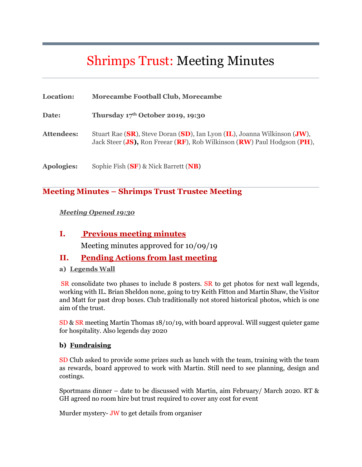# Shrimps Trust: Meeting Minutes

| <b>Location:</b>  | <b>Morecambe Football Club, Morecambe</b>                                                                                                           |
|-------------------|-----------------------------------------------------------------------------------------------------------------------------------------------------|
| Date:             | Thursday $17th$ October 2019, 19:30                                                                                                                 |
| <b>Attendees:</b> | Stuart Rae (SR), Steve Doran (SD), Ian Lyon (IL), Joanna Wilkinson (JW),<br>Jack Steer (JS), Ron Freear (RF), Rob Wilkinson (RW) Paul Hodgson (PH), |
| <b>Apologies:</b> | Sophie Fish (SF) & Nick Barrett (NB)                                                                                                                |

### **Meeting Minutes – Shrimps Trust Trustee Meeting**

#### *Meeting Opened 19:30*

#### **I. Previous meeting minutes**

Meeting minutes approved for 10/09/19

#### **II. Pending Actions from last meeting**

#### **a) Legends Wall**

SR consolidate two phases to include 8 posters. SR to get photos for next wall legends, working with IL. Brian Sheldon none, going to try Keith Fitton and Martin Shaw, the Visitor and Matt for past drop boxes. Club traditionally not stored historical photos, which is one aim of the trust.

SD & SR meeting Martin Thomas 18/10/19, with board approval. Will suggest quieter game for hospitality. Also legends day 2020

#### **b) Fundraising**

SD Club asked to provide some prizes such as lunch with the team, training with the team as rewards, board approved to work with Martin. Still need to see planning, design and costings.

Sportmans dinner – date to be discussed with Martin, aim February/ March 2020. RT & GH agreed no room hire but trust required to cover any cost for event

Murder mystery- JW to get details from organiser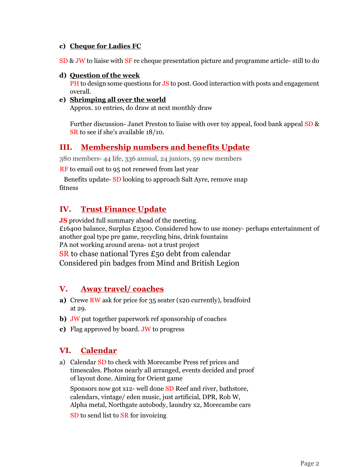#### **c) Cheque for Ladies FC**

SD & JW to liaise with SF re cheque presentation picture and programme article- still to do

**d) Question of the week**

PH to design some questions for JS to post. Good interaction with posts and engagement overall.

#### **e) Shrimping all over the world**

Approx. 10 entries, do draw at next monthly draw

Further discussion- Janet Preston to liaise with over toy appeal, food bank appeal SD & SR to see if she's available 18/10.

## **III. Membership numbers and benefits Update**

380 members- 44 life, 336 annual, 24 juniors, 59 new members

RF to email out to 95 not renewed from last year

Benefits update- SD looking to approach Salt Ayre, remove snap fitness

## **IV. Trust Finance Update**

**JS** provided full summary ahead of the meeting. £16400 balance, Surplus £2300. Considered how to use money- perhaps entertainment of another goal type pre game, recycling bins, drink fountains PA not working around arena- not a trust project SR to chase national Tyres £50 debt from calendar Considered pin badges from Mind and British Legion

## **V. Away travel/ coaches**

- **a)** Crewe RW ask for price for 35 seater (x20 currently), bradfoird at 29.
- **b)** JW put together paperwork ref sponsorship of coaches
- **c)** Flag approved by board. JW to progress

## **VI. Calendar**

a) Calendar SD to check with Morecambe Press ref prices and timescales. Photos nearly all arranged, events decided and proof of layout done. Aiming for Orient game

Sponsors now got x12- well done SD Reef and river, bathstore, calendars, vintage/ eden music, just artificial, DPR, Rob W, Alpha metal, Northgate autobody, laundry x2, Morecambe cars

SD to send list to SR for invoicing